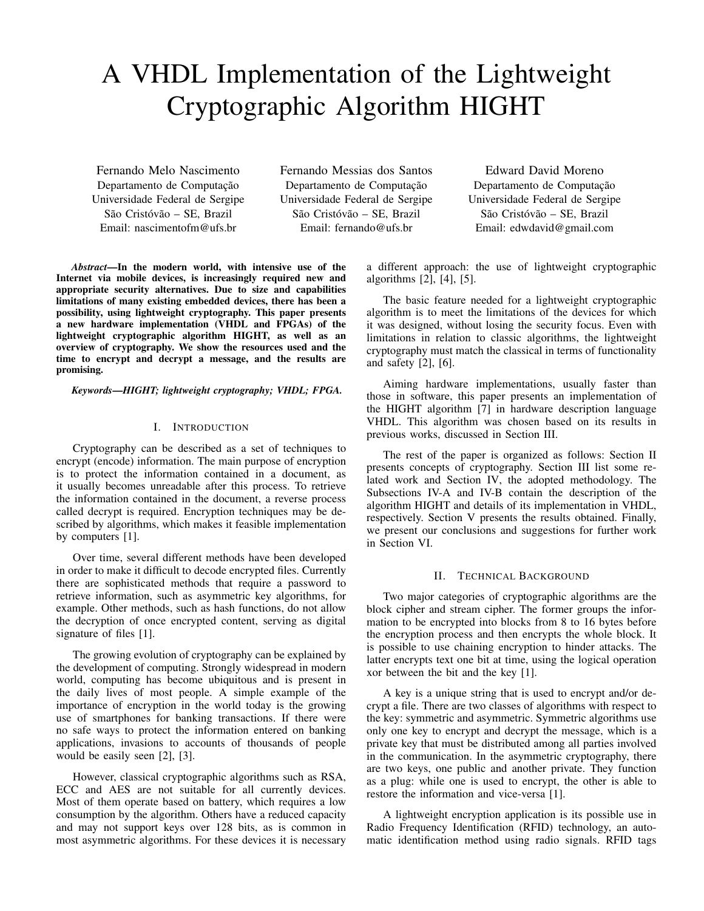# A VHDL Implementation of the Lightweight Cryptographic Algorithm HIGHT

Fernando Melo Nascimento Departamento de Computação Universidade Federal de Sergipe São Cristóvão – SE, Brazil Email: [nascimentofm@ufs.br](mailto:nascimentofm@ufs.br)

Fernando Messias dos Santos Departamento de Computação Universidade Federal de Sergipe São Cristóvão – SE, Brazil Email: [fernando@ufs.br](mailto:fernando@ufs.com)

Edward David Moreno Departamento de Computação Universidade Federal de Sergipe São Cristóvão – SE, Brazil Email: [edwdavid@gmail.com](mailto:edwdavid@gmail.com)

*Abstract*—In the modern world, with intensive use of the Internet via mobile devices, is increasingly required new and appropriate security alternatives. Due to size and capabilities limitations of many existing embedded devices, there has been a possibility, using lightweight cryptography. This paper presents a new hardware implementation (VHDL and FPGAs) of the lightweight cryptographic algorithm HIGHT, as well as an overview of cryptography. We show the resources used and the time to encrypt and decrypt a message, and the results are promising.

*Keywords*—*HIGHT; lightweight cryptography; VHDL; FPGA.*

## I. INTRODUCTION

Cryptography can be described as a set of techniques to encrypt (encode) information. The main purpose of encryption is to protect the information contained in a document, as it usually becomes unreadable after this process. To retrieve the information contained in the document, a reverse process called decrypt is required. Encryption techniques may be described by algorithms, which makes it feasible implementation by computers [\[1\]](#page-3-0).

Over time, several different methods have been developed in order to make it difficult to decode encrypted files. Currently there are sophisticated methods that require a password to retrieve information, such as asymmetric key algorithms, for example. Other methods, such as hash functions, do not allow the decryption of once encrypted content, serving as digital signature of files [\[1\]](#page-3-0).

The growing evolution of cryptography can be explained by the development of computing. Strongly widespread in modern world, computing has become ubiquitous and is present in the daily lives of most people. A simple example of the importance of encryption in the world today is the growing use of smartphones for banking transactions. If there were no safe ways to protect the information entered on banking applications, invasions to accounts of thousands of people would be easily seen [\[2\]](#page-3-1), [\[3\]](#page-3-2).

However, classical cryptographic algorithms such as RSA, ECC and AES are not suitable for all currently devices. Most of them operate based on battery, which requires a low consumption by the algorithm. Others have a reduced capacity and may not support keys over 128 bits, as is common in most asymmetric algorithms. For these devices it is necessary a different approach: the use of lightweight cryptographic algorithms [\[2\]](#page-3-1), [\[4\]](#page-3-3), [\[5\]](#page-3-4).

The basic feature needed for a lightweight cryptographic algorithm is to meet the limitations of the devices for which it was designed, without losing the security focus. Even with limitations in relation to classic algorithms, the lightweight cryptography must match the classical in terms of functionality and safety [\[2\]](#page-3-1), [\[6\]](#page-3-5).

Aiming hardware implementations, usually faster than those in software, this paper presents an implementation of the HIGHT algorithm [\[7\]](#page-3-6) in hardware description language VHDL. This algorithm was chosen based on its results in previous works, discussed in Section [III.](#page-1-0)

The rest of the paper is organized as follows: Section [II](#page-0-0) presents concepts of cryptography. Section [III](#page-1-0) list some related work and Section [IV,](#page-1-1) the adopted methodology. The Subsections [IV-A](#page-1-2) and [IV-B](#page-2-0) contain the description of the algorithm HIGHT and details of its implementation in VHDL, respectively. Section [V](#page-2-1) presents the results obtained. Finally, we present our conclusions and suggestions for further work in Section [VI.](#page-3-7)

### II. TECHNICAL BACKGROUND

<span id="page-0-0"></span>Two major categories of cryptographic algorithms are the block cipher and stream cipher. The former groups the information to be encrypted into blocks from 8 to 16 bytes before the encryption process and then encrypts the whole block. It is possible to use chaining encryption to hinder attacks. The latter encrypts text one bit at time, using the logical operation xor between the bit and the key [\[1\]](#page-3-0).

A key is a unique string that is used to encrypt and/or decrypt a file. There are two classes of algorithms with respect to the key: symmetric and asymmetric. Symmetric algorithms use only one key to encrypt and decrypt the message, which is a private key that must be distributed among all parties involved in the communication. In the asymmetric cryptography, there are two keys, one public and another private. They function as a plug: while one is used to encrypt, the other is able to restore the information and vice-versa [\[1\]](#page-3-0).

A lightweight encryption application is its possible use in Radio Frequency Identification (RFID) technology, an automatic identification method using radio signals. RFID tags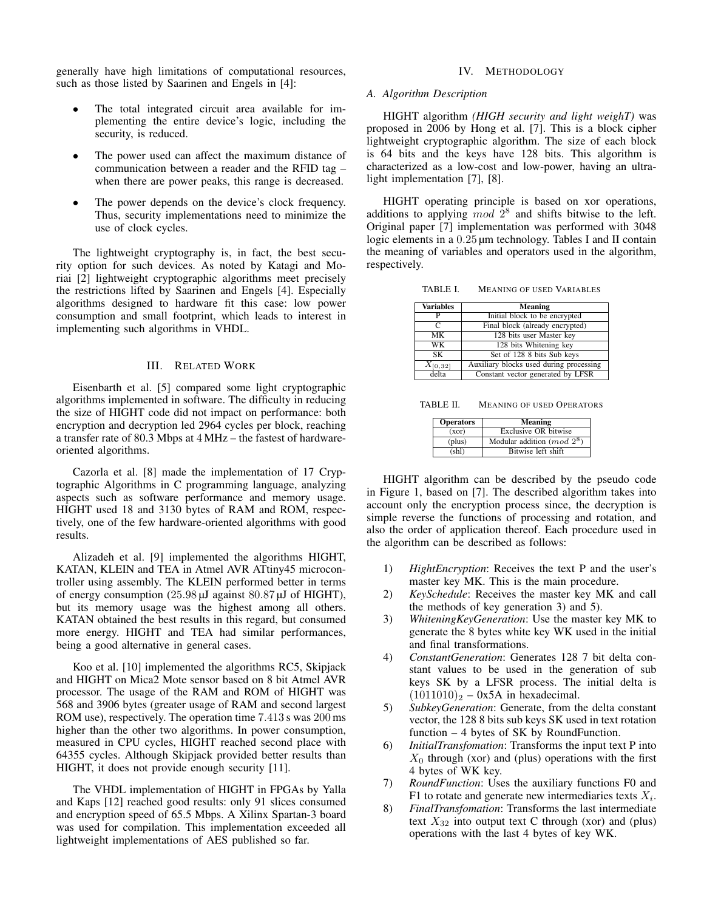generally have high limitations of computational resources, such as those listed by Saarinen and Engels in [\[4\]](#page-3-3):

- The total integrated circuit area available for implementing the entire device's logic, including the security, is reduced.
- The power used can affect the maximum distance of communication between a reader and the RFID tag – when there are power peaks, this range is decreased.
- The power depends on the device's clock frequency. Thus, security implementations need to minimize the use of clock cycles.

The lightweight cryptography is, in fact, the best security option for such devices. As noted by Katagi and Moriai [\[2\]](#page-3-1) lightweight cryptographic algorithms meet precisely the restrictions lifted by Saarinen and Engels [\[4\]](#page-3-3). Especially algorithms designed to hardware fit this case: low power consumption and small footprint, which leads to interest in implementing such algorithms in VHDL.

## III. RELATED WORK

<span id="page-1-0"></span>Eisenbarth et al. [\[5\]](#page-3-4) compared some light cryptographic algorithms implemented in software. The difficulty in reducing the size of HIGHT code did not impact on performance: both encryption and decryption led 2964 cycles per block, reaching a transfer rate of 80.3 Mbps at 4 MHz – the fastest of hardwareoriented algorithms.

Cazorla et al. [\[8\]](#page-3-8) made the implementation of 17 Cryptographic Algorithms in C programming language, analyzing aspects such as software performance and memory usage. HIGHT used 18 and 3130 bytes of RAM and ROM, respectively, one of the few hardware-oriented algorithms with good results.

Alizadeh et al. [\[9\]](#page-3-9) implemented the algorithms HIGHT, KATAN, KLEIN and TEA in Atmel AVR ATtiny45 microcontroller using assembly. The KLEIN performed better in terms of energy consumption  $(25.98 \,\mu\text{J})$  against  $80.87 \,\mu\text{J}$  of HIGHT), but its memory usage was the highest among all others. KATAN obtained the best results in this regard, but consumed more energy. HIGHT and TEA had similar performances, being a good alternative in general cases.

Koo et al. [\[10\]](#page-3-10) implemented the algorithms RC5, Skipjack and HIGHT on Mica2 Mote sensor based on 8 bit Atmel AVR processor. The usage of the RAM and ROM of HIGHT was 568 and 3906 bytes (greater usage of RAM and second largest ROM use), respectively. The operation time 7.413 s was 200 ms higher than the other two algorithms. In power consumption, measured in CPU cycles, HIGHT reached second place with 64355 cycles. Although Skipjack provided better results than HIGHT, it does not provide enough security [\[11\]](#page-3-11).

The VHDL implementation of HIGHT in FPGAs by Yalla and Kaps [\[12\]](#page-3-12) reached good results: only 91 slices consumed and encryption speed of 65.5 Mbps. A Xilinx Spartan-3 board was used for compilation. This implementation exceeded all lightweight implementations of AES published so far.

### IV. METHODOLOGY

#### <span id="page-1-2"></span><span id="page-1-1"></span>*A. Algorithm Description*

HIGHT algorithm *(HIGH security and light weighT)* was proposed in 2006 by Hong et al. [\[7\]](#page-3-6). This is a block cipher lightweight cryptographic algorithm. The size of each block is 64 bits and the keys have 128 bits. This algorithm is characterized as a low-cost and low-power, having an ultralight implementation [\[7\]](#page-3-6), [\[8\]](#page-3-8).

HIGHT operating principle is based on xor operations, additions to applying  $\overline{m}$  od  $2^8$  and shifts bitwise to the left. Original paper [\[7\]](#page-3-6) implementation was performed with 3048 logic elements in a  $0.25 \mu m$  technology. Tables [I](#page-1-3) and [II](#page-1-4) contain the meaning of variables and operators used in the algorithm, respectively.

<span id="page-1-3"></span>TABLE I. MEANING OF USED VARIABLES

| <b>Variables</b> | <b>Meaning</b>                          |
|------------------|-----------------------------------------|
| P                | Initial block to be encrypted           |
| C                | Final block (already encrypted)         |
| MК               | 128 bits user Master key                |
| WK               | 128 bits Whitening key                  |
| SK               | Set of 128 8 bits Sub keys              |
| $X_{[0,32]}$     | Auxiliary blocks used during processing |
| delta            | Constant vector generated by LFSR       |

TABLE II. MEANING OF USED OPERATORS

<span id="page-1-4"></span>

| <b>Operators</b> | Meaning                      |  |  |
|------------------|------------------------------|--|--|
| (xor)            | Exclusive OR bitwise         |  |  |
| (plus)           | Modular addition $(mod 2^8)$ |  |  |
| $(\text{sh}l)$   | Bitwise left shift           |  |  |

HIGHT algorithm can be described by the pseudo code in Figure [1,](#page-2-2) based on [\[7\]](#page-3-6). The described algorithm takes into account only the encryption process since, the decryption is simple reverse the functions of processing and rotation, and also the order of application thereof. Each procedure used in the algorithm can be described as follows:

- 1) *HightEncryption*: Receives the text P and the user's master key MK. This is the main procedure.
- 2) *KeySchedule*: Receives the master key MK and call the methods of key generation 3) and 5).
- 3) *WhiteningKeyGeneration*: Use the master key MK to generate the 8 bytes white key WK used in the initial and final transformations.
- 4) *ConstantGeneration*: Generates 128 7 bit delta constant values to be used in the generation of sub keys SK by a LFSR process. The initial delta is  $(1011010)<sub>2</sub> - 0x5A$  in hexadecimal.
- 5) *SubkeyGeneration*: Generate, from the delta constant vector, the 128 8 bits sub keys SK used in text rotation function – 4 bytes of SK by RoundFunction.
- 6) *InitialTransfomation*: Transforms the input text P into  $X_0$  through (xor) and (plus) operations with the first 4 bytes of WK key.
- 7) *RoundFunction*: Uses the auxiliary functions F0 and F1 to rotate and generate new intermediaries texts  $X_i$ .
- 8) *FinalTransfomation*: Transforms the last intermediate text  $X_{32}$  into output text C through (xor) and (plus) operations with the last 4 bytes of key WK.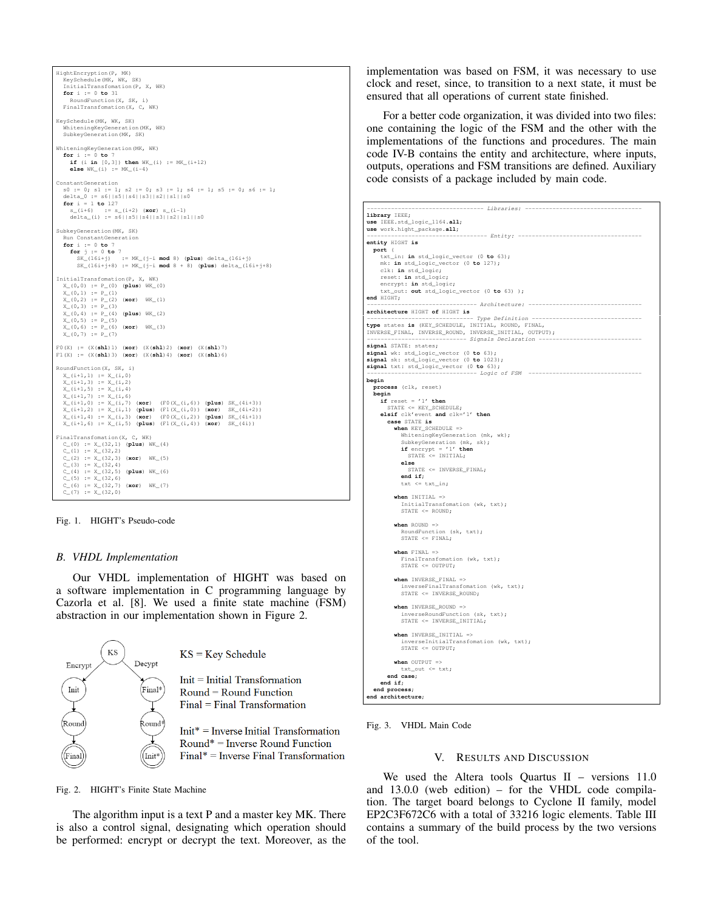| HightEncryption (P, MK)<br>KeySchedule (MK, WK, SK)<br>InitialTransfomation (P, X, WK)<br>for $i := 0$ to 31<br>RoundFunction (X, SK, i)<br>FinalTransfomation (X, C, WK)                                                                                                                                                                                                                                                                                                                                              |
|------------------------------------------------------------------------------------------------------------------------------------------------------------------------------------------------------------------------------------------------------------------------------------------------------------------------------------------------------------------------------------------------------------------------------------------------------------------------------------------------------------------------|
| KeySchedule(MK, WK, SK)<br>WhiteningKeyGeneration (MK, WK)<br>SubkeyGeneration (MK, SK)                                                                                                                                                                                                                                                                                                                                                                                                                                |
| WhiteningKeyGeneration (MK, WK)<br>for $i := 0$ to 7<br>if $(i \in [0, 3])$ then $WK_i) := MK_i+12$<br>else $WK_i(i) := MK_i(i-4)$                                                                                                                                                                                                                                                                                                                                                                                     |
| ConstantGeneration<br>$s0 := 0; s1 := 1; s2 := 0; s3 := 1; s4 := 1; s5 := 0; s6 := 1;$<br>delta_0 := $s6  s5  s4  s3  s2  s1  s0$<br>for $i = 1$ to 127<br>$s_{-}(i+6)$ := $s_{-}(i+2)$ (xor) $s_{-}(i-1)$<br>delta_(i) := $s6  s5  s4  s3  s2  s1  s0$                                                                                                                                                                                                                                                                |
| SubkeyGeneration (MK, SK)<br>Run ConstantGeneration<br>for $i := 0$ to 7<br>for $j := 0$ to 7<br>$SK_1(16i+j)$ := $MK_1j-i \mod 8$ (plus) delta_(16i+j)<br>$SK_1(16i+j+8) := MK_1j-i \mod 8 + 8$ (plus) delta_(16i+j+8)                                                                                                                                                                                                                                                                                                |
| InitialTransfomation (P, X, WK)<br>$X_-(0,0) := P_-(0)$ (plus) $WK_-(0)$<br>$X_0(0,1) := P_1(1)$<br>$X_-(0, 2) := P_-(2)$ (xor) $WK_1)$<br>$X_-(0, 3) := P_-(3)$<br>$X(0, 4) := P(4)$ (plus) $WK(2)$<br>$X(0, 5) := P(5)$<br>$X(0, 6) := P(6)$ (xor) $WK(3)$<br>$X(0, 7) := P(7)$                                                                                                                                                                                                                                      |
| $FO(X) := (X(\text{shl})1) (\text{xor}) (X(\text{shl})2) (\text{xor}) (X(\text{shl})7)$<br>$F1(X) := (X(\text{sh}1)3) (\text{xor}) (X(\text{sh}1)4) (\text{xor}) (X(\text{sh}1)6)$                                                                                                                                                                                                                                                                                                                                     |
| RoundFunction (X, SK, i)<br>$X_{-}(i+1, 1) := X_{-}(i, 0)$<br>$X_{-}(i+1, 3) := X_{-}(i, 2)$<br>$X_{-}(i+1,5) := X_{-}(i,4)$<br>$X_{-}(i+1, 7) := X_{-}(i, 6)$<br>$X_{-}(i+1,0) := X_{-}(i,7)$ (xor) (F0(X <sub>-</sub> (i,6)) (plus) SK <sub>-</sub> (4i+3))<br>$X_{-}(i+1,2) := X_{-}(i,1)$ (plus) $(F1(X_{-}(i,0))$ (xor) SK <sub>-</sub> (4i+2))<br>$X_{-}(i+1, 4) := X_{-}(i, 3)$ (xor) $(F0(X_{-}(i, 2))$ (plus) $SK_{-}(4i+1))$<br>$X_{-}(i+1, 6) := X_{-}(i, 5)$ (plus) $(F1(X_{-}(i, 4))$ (xor) $SK_{-}(4i))$ |
| FinalTransfomation(X, C, WK)<br>$C_0(0) := X_3(32, 1)$ (plus) $WK_4)$<br>$C_{-}(1) := X_{-}(32, 2)$<br>$C_-(2) := X_-(32, 3)$ (xor) $WK_-(5)$<br>$C_{-}(3) := X_{-}(32, 4)$<br>$C_-(4) := X_-(32, 5)$ (plus) $WK_-(6)$<br>$C_{-}(5) := X_{-}(32, 6)$<br>$C_{-}(6) := X_{-}(32, 7)$ (xor) $WK_{-}(7)$<br>$C_-(7) := X_-(32, 0)$                                                                                                                                                                                         |

<span id="page-2-2"></span>Fig. 1. HIGHT's Pseudo-code

#### <span id="page-2-0"></span>*B. VHDL Implementation*

Our VHDL implementation of HIGHT was based on a software implementation in C programming language by Cazorla et al. [\[8\]](#page-3-8). We used a finite state machine (FSM) abstraction in our implementation shown in Figure [2.](#page-2-3)



<span id="page-2-3"></span>Fig. 2. HIGHT's Finite State Machine

The algorithm input is a text P and a master key MK. There is also a control signal, designating which operation should be performed: encrypt or decrypt the text. Moreover, as the implementation was based on FSM, it was necessary to use clock and reset, since, to transition to a next state, it must be ensured that all operations of current state finished.

For a better code organization, it was divided into two files: one containing the logic of the FSM and the other with the implementations of the functions and procedures. The main code [IV-B](#page-2-4) contains the entity and architecture, where inputs, outputs, operations and FSM transitions are defined. Auxiliary code consists of a package included by main code.

```
---------- Libraries: -----------
library IEEE;
use IEEE.std_logic_1164.all;
use work.hight_package.all;
                                           ------ Entity: ---------
entity HIGHT is
 port (
      txt_in: in std_logic_vector (0 to 63);
mk: in std_logic_vector (0 to 127);
clk: in std_logic;
reset: in std_logic;
      encrypt: in std_logic;
txt_out: out std_logic_vector (0 to 63) );
 end HIGHT;
                                            -- Architecture: ---
architecture HIGHT of HIGHT is
-------------------------------- Type Definition --------------------------------<br>type states is (KEY_SCHEDULE, INITIAL, ROUND, FINAL,<br>INVERSE_FINAL, INVERSE_ROUND, INVERSE_INITIAL, OUTPUT);
                      ----------------------------- Signals Declaration ------------------------------
signal STATE: states;
signal wk: std_logic_vector (0 to 63);
signal sk: std_logic_vector (0 to 1023);
signal txt: std_logic_vector (0 to 63);
                                            -- Logic of FSM
begin
   process (clk, reset)
begin
if reset = '1' then
STATE <= KEY_SCHEDULE;
     elsif clk'event and clk='1' then
         case STATE is
when KEY_SCHEDULE =>
              WhiteningKeyGeneration (mk, wk);
               SubkeyGeneration (mk, sk);
if encrypt = '1' then
STATE <= INITIAL;
             else
                 STATE <= INVERSE_FINAL;
              end if;
              ext \leq \text{txt_in};when INITIAL =>
               InitialTransfomation (wk, txt);
STATE <= ROUND;
           when ROUND =>
               RoundFunction (sk, txt);<br>STATE <= FINAL;
           when FINAL =>
               FinalTransfomation (wk, txt);
              STATE <= OUTPUT;
           when INVERSE_FINAL =>
              inverseFinalTransfomation (wk, txt);
              STATE <= INVERSE_ROUND:
           when INVERSE_ROUND =>
              inverseRoundFunction (sk, txt);
              STATE <= INVERSE INITIAL;
           when INVERSE_INITIAL =
              inverseInitialTransfomation (wk, txt);
              STATE <= OUTPUT;
           when OUTPUT =
              txt_out <= txt;
        end case;
     end if;
  end process;
  end architecture;
```
<span id="page-2-4"></span><span id="page-2-1"></span>

#### V. RESULTS AND DISCUSSION

We used the Altera tools Quartus II – versions 11.0 and 13.0.0 (web edition) – for the VHDL code compilation. The target board belongs to Cyclone II family, model EP2C3F672C6 with a total of 33216 logic elements. Table [III](#page-3-13) contains a summary of the build process by the two versions of the tool.